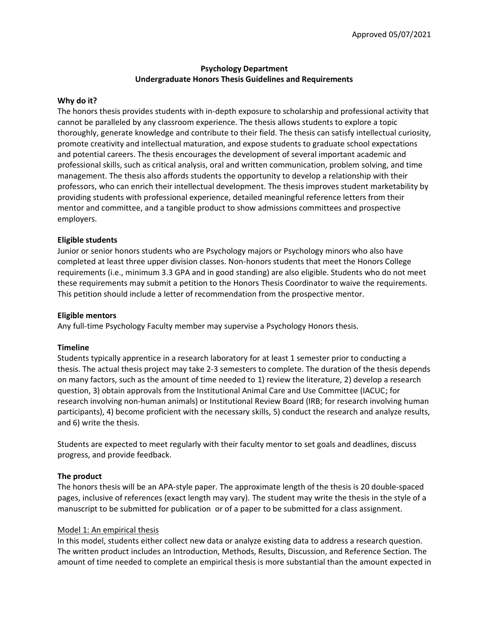# **Psychology Department Undergraduate Honors Thesis Guidelines and Requirements**

#### **Why do it?**

The honors thesis provides students with in-depth exposure to scholarship and professional activity that cannot be paralleled by any classroom experience. The thesis allows students to explore a topic thoroughly, generate knowledge and contribute to their field. The thesis can satisfy intellectual curiosity, promote creativity and intellectual maturation, and expose students to graduate school expectations and potential careers. The thesis encourages the development of several important academic and professional skills, such as critical analysis, oral and written communication, problem solving, and time management. The thesis also affords students the opportunity to develop a relationship with their professors, who can enrich their intellectual development. The thesis improves student marketability by providing students with professional experience, detailed meaningful reference letters from their mentor and committee, and a tangible product to show admissions committees and prospective employers.

### **Eligible students**

Junior or senior honors students who are Psychology majors or Psychology minors who also have completed at least three upper division classes. Non-honors students that meet the Honors College requirements (i.e., minimum 3.3 GPA and in good standing) are also eligible. Students who do not meet these requirements may submit a petition to the Honors Thesis Coordinator to waive the requirements. This petition should include a letter of recommendation from the prospective mentor.

#### **Eligible mentors**

Any full-time Psychology Faculty member may supervise a Psychology Honors thesis.

#### **Timeline**

Students typically apprentice in a research laboratory for at least 1 semester prior to conducting a thesis. The actual thesis project may take 2-3 semesters to complete. The duration of the thesis depends on many factors, such as the amount of time needed to 1) review the literature, 2) develop a research question, 3) obtain approvals from the Institutional Animal Care and Use Committee (IACUC; for research involving non-human animals) or Institutional Review Board (IRB; for research involving human participants), 4) become proficient with the necessary skills, 5) conduct the research and analyze results, and 6) write the thesis.

Students are expected to meet regularly with their faculty mentor to set goals and deadlines, discuss progress, and provide feedback.

#### **The product**

The honors thesis will be an APA-style paper. The approximate length of the thesis is 20 double-spaced pages, inclusive of references (exact length may vary). The student may write the thesis in the style of a manuscript to be submitted for publication or of a paper to be submitted for a class assignment.

#### Model 1: An empirical thesis

In this model, students either collect new data or analyze existing data to address a research question. The written product includes an Introduction, Methods, Results, Discussion, and Reference Section. The amount of time needed to complete an empirical thesis is more substantial than the amount expected in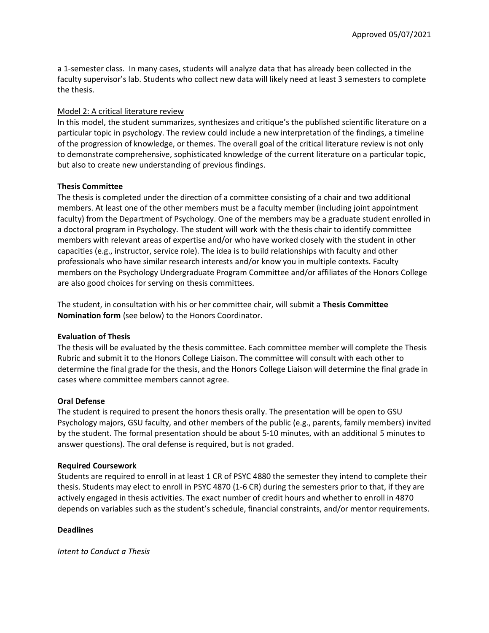a 1-semester class. In many cases, students will analyze data that has already been collected in the faculty supervisor's lab. Students who collect new data will likely need at least 3 semesters to complete the thesis.

### Model 2: A critical literature review

In this model, the student summarizes, synthesizes and critique's the published scientific literature on a particular topic in psychology. The review could include a new interpretation of the findings, a timeline of the progression of knowledge, or themes. The overall goal of the critical literature review is not only to demonstrate comprehensive, sophisticated knowledge of the current literature on a particular topic, but also to create new understanding of previous findings.

### **Thesis Committee**

The thesis is completed under the direction of a committee consisting of a chair and two additional members. At least one of the other members must be a faculty member (including joint appointment faculty) from the Department of Psychology. One of the members may be a graduate student enrolled in a doctoral program in Psychology. The student will work with the thesis chair to identify committee members with relevant areas of expertise and/or who have worked closely with the student in other capacities (e.g., instructor, service role). The idea is to build relationships with faculty and other professionals who have similar research interests and/or know you in multiple contexts. Faculty members on the Psychology Undergraduate Program Committee and/or affiliates of the Honors College are also good choices for serving on thesis committees.

The student, in consultation with his or her committee chair, will submit a **Thesis Committee Nomination form** (see below) to the Honors Coordinator.

# **Evaluation of Thesis**

The thesis will be evaluated by the thesis committee. Each committee member will complete the Thesis Rubric and submit it to the Honors College Liaison. The committee will consult with each other to determine the final grade for the thesis, and the Honors College Liaison will determine the final grade in cases where committee members cannot agree.

# **Oral Defense**

The student is required to present the honors thesis orally. The presentation will be open to GSU Psychology majors, GSU faculty, and other members of the public (e.g., parents, family members) invited by the student. The formal presentation should be about 5-10 minutes, with an additional 5 minutes to answer questions). The oral defense is required, but is not graded.

#### **Required Coursework**

Students are required to enroll in at least 1 CR of PSYC 4880 the semester they intend to complete their thesis. Students may elect to enroll in PSYC 4870 (1-6 CR) during the semesters prior to that, if they are actively engaged in thesis activities. The exact number of credit hours and whether to enroll in 4870 depends on variables such as the student's schedule, financial constraints, and/or mentor requirements.

#### **Deadlines**

*Intent to Conduct a Thesis*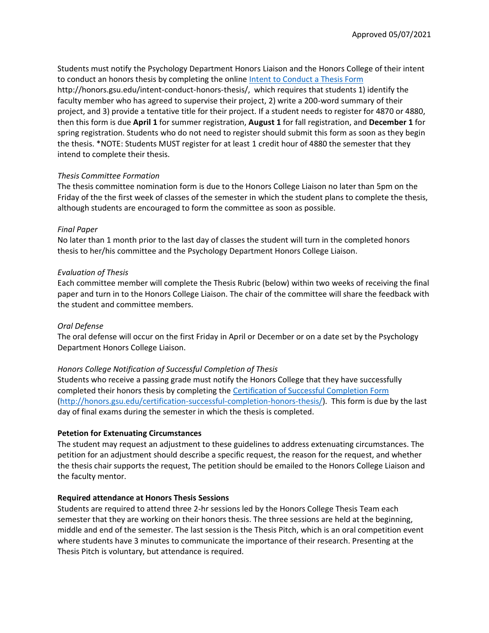Students must notify the Psychology Department Honors Liaison and the Honors College of their intent to conduct an honors thesis by completing the online [Intent to Conduct a Thesis Form](http://honors.gsu.edu/intent-conduct-honors-thesis/) http://honors.gsu.edu/intent-conduct-honors-thesis/, which requires that students 1) identify the faculty member who has agreed to supervise their project, 2) write a 200-word summary of their project, and 3) provide a tentative title for their project. If a student needs to register for 4870 or 4880, then this form is due **April 1** for summer registration, **August 1** for fall registration, and **December 1** for spring registration. Students who do not need to register should submit this form as soon as they begin the thesis. \*NOTE: Students MUST register for at least 1 credit hour of 4880 the semester that they intend to complete their thesis.

# *Thesis Committee Formation*

The thesis committee nomination form is due to the Honors College Liaison no later than 5pm on the Friday of the the first week of classes of the semester in which the student plans to complete the thesis, although students are encouraged to form the committee as soon as possible.

# *Final Paper*

No later than 1 month prior to the last day of classes the student will turn in the completed honors thesis to her/his committee and the Psychology Department Honors College Liaison.

# *Evaluation of Thesis*

Each committee member will complete the Thesis Rubric (below) within two weeks of receiving the final paper and turn in to the Honors College Liaison. The chair of the committee will share the feedback with the student and committee members.

# *Oral Defense*

The oral defense will occur on the first Friday in April or December or on a date set by the Psychology Department Honors College Liaison.

# *Honors College Notification of Successful Completion of Thesis*

Students who receive a passing grade must notify the Honors College that they have successfully completed their honors thesis by completing the [Certification of Successful Completion Form](http://honors.gsu.edu/certification-successful-completion-honors-thesis/) [\(http://honors.gsu.edu/certification-successful-completion-honors-thesis/\)](http://honors.gsu.edu/certification-successful-completion-honors-thesis/). This form is due by the last day of final exams during the semester in which the thesis is completed.

# **Petetion for Extenuating Circumstances**

The student may request an adjustment to these guidelines to address extenuating circumstances. The petition for an adjustment should describe a specific request, the reason for the request, and whether the thesis chair supports the request, The petition should be emailed to the Honors College Liaison and the faculty mentor.

# **Required attendance at Honors Thesis Sessions**

Students are required to attend three 2-hr sessions led by the Honors College Thesis Team each semester that they are working on their honors thesis. The three sessions are held at the beginning, middle and end of the semester. The last session is the Thesis Pitch, which is an oral competition event where students have 3 minutes to communicate the importance of their research. Presenting at the Thesis Pitch is voluntary, but attendance is required.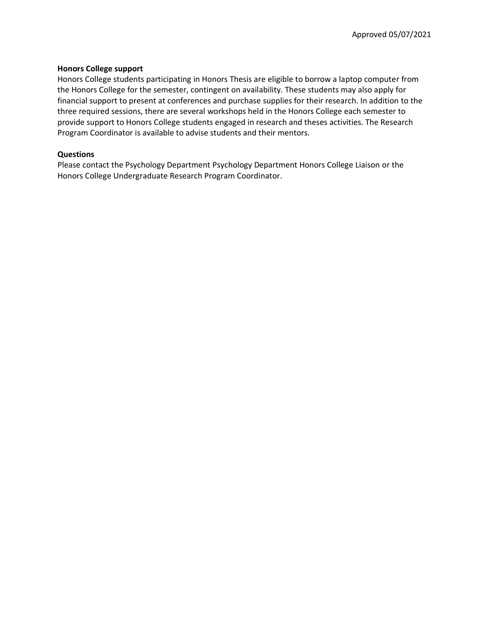### **Honors College support**

Honors College students participating in Honors Thesis are eligible to borrow a laptop computer from the Honors College for the semester, contingent on availability. These students may also apply for financial support to present at conferences and purchase supplies for their research. In addition to the three required sessions, there are several workshops held in the Honors College each semester to provide support to Honors College students engaged in research and theses activities. The Research Program Coordinator is available to advise students and their mentors.

### **Questions**

Please contact the Psychology Department Psychology Department Honors College Liaison or the Honors College Undergraduate Research Program Coordinator.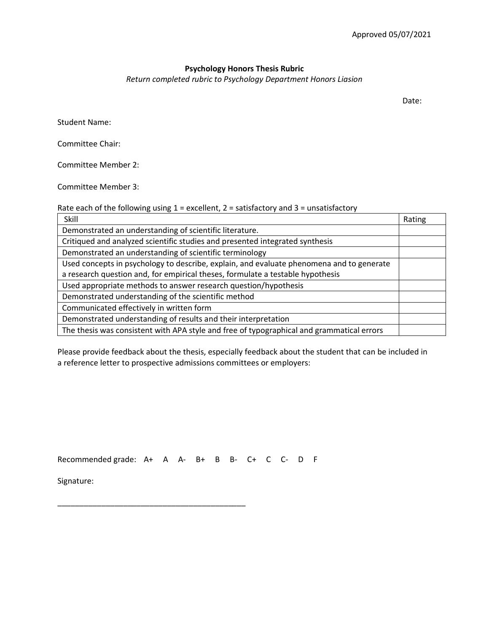# **Psychology Honors Thesis Rubric**

*Return completed rubric to Psychology Department Honors Liasion*

Date:

Student Name:

Committee Chair:

Committee Member 2:

Committee Member 3:

Rate each of the following using  $1$  = excellent,  $2$  = satisfactory and  $3$  = unsatisfactory

| Skill                                                                                     | Rating |
|-------------------------------------------------------------------------------------------|--------|
| Demonstrated an understanding of scientific literature.                                   |        |
| Critiqued and analyzed scientific studies and presented integrated synthesis              |        |
| Demonstrated an understanding of scientific terminology                                   |        |
| Used concepts in psychology to describe, explain, and evaluate phenomena and to generate  |        |
| a research question and, for empirical theses, formulate a testable hypothesis            |        |
| Used appropriate methods to answer research question/hypothesis                           |        |
| Demonstrated understanding of the scientific method                                       |        |
| Communicated effectively in written form                                                  |        |
| Demonstrated understanding of results and their interpretation                            |        |
| The thesis was consistent with APA style and free of typographical and grammatical errors |        |

Please provide feedback about the thesis, especially feedback about the student that can be included in a reference letter to prospective admissions committees or employers:

Recommended grade: A+ A A- B+ B B- C+ C C- D F

\_\_\_\_\_\_\_\_\_\_\_\_\_\_\_\_\_\_\_\_\_\_\_\_\_\_\_\_\_\_\_\_\_\_\_\_\_\_\_\_\_\_\_

Signature: